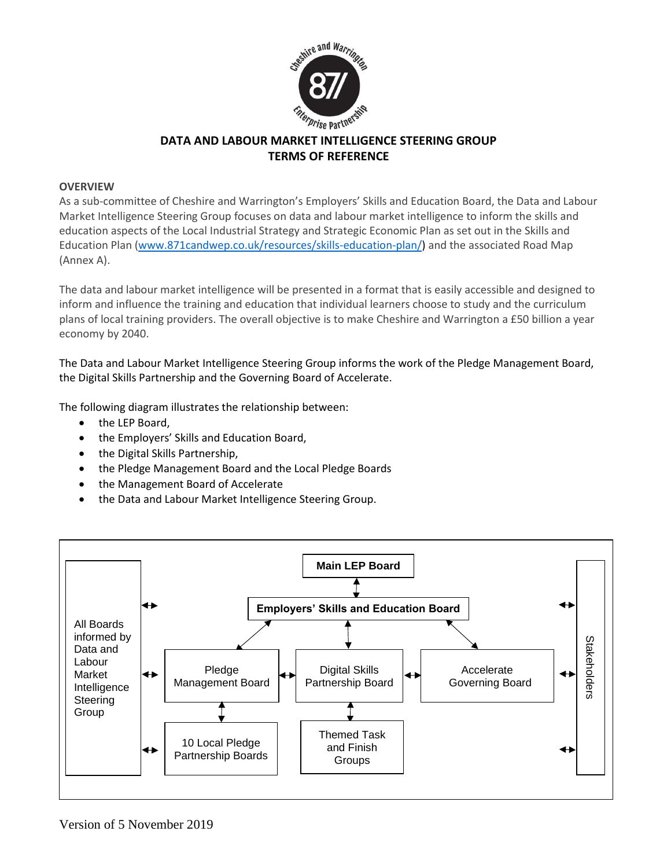

# **DATA AND LABOUR MARKET INTELLIGENCE STEERING GROUP TERMS OF REFERENCE**

# **OVERVIEW**

As a sub-committee of Cheshire and Warrington's Employers' Skills and Education Board, the Data and Labour Market Intelligence Steering Group focuses on data and labour market intelligence to inform the skills and education aspects of the Local Industrial Strategy and Strategic Economic Plan as set out in the Skills and Education Plan [\(www.871candwep.co.uk/resources/skills-education-plan/\)](http://www.871candwep.co.uk/resources/skills-education-plan/) and the associated Road Map (Annex A).

The data and labour market intelligence will be presented in a format that is easily accessible and designed to inform and influence the training and education that individual learners choose to study and the curriculum plans of local training providers. The overall objective is to make Cheshire and Warrington a £50 billion a year economy by 2040.

The Data and Labour Market Intelligence Steering Group informs the work of the Pledge Management Board, the Digital Skills Partnership and the Governing Board of Accelerate.

The following diagram illustrates the relationship between:

- the LEP Board,
- the Employers' Skills and Education Board,
- the Digital Skills Partnership,
- the Pledge Management Board and the Local Pledge Boards
- the Management Board of Accelerate
- the Data and Labour Market Intelligence Steering Group.

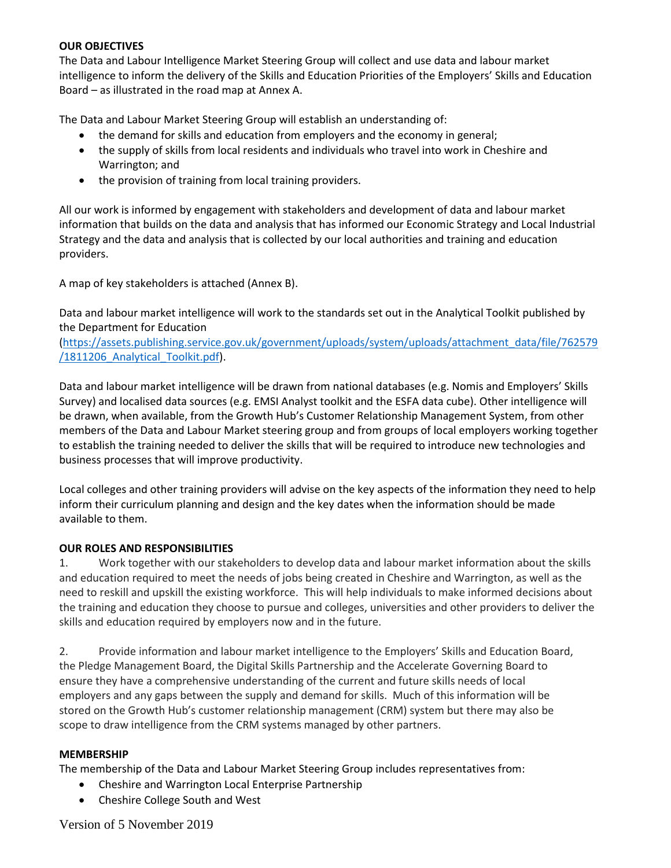#### **OUR OBJECTIVES**

The Data and Labour Intelligence Market Steering Group will collect and use data and labour market intelligence to inform the delivery of the Skills and Education Priorities of the Employers' Skills and Education Board – as illustrated in the road map at Annex A.

The Data and Labour Market Steering Group will establish an understanding of:

- the demand for skills and education from employers and the economy in general;
- the supply of skills from local residents and individuals who travel into work in Cheshire and Warrington; and
- the provision of training from local training providers.

All our work is informed by engagement with stakeholders and development of data and labour market information that builds on the data and analysis that has informed our Economic Strategy and Local Industrial Strategy and the data and analysis that is collected by our local authorities and training and education providers.

A map of key stakeholders is attached (Annex B).

Data and labour market intelligence will work to the standards set out in the Analytical Toolkit published by the Department for Education

[\(https://assets.publishing.service.gov.uk/government/uploads/system/uploads/attachment\\_data/file/762579](https://assets.publishing.service.gov.uk/government/uploads/system/uploads/attachment_data/file/762579/1811206_Analytical_Toolkit.pdf) [/1811206\\_Analytical\\_Toolkit.pdf\)](https://assets.publishing.service.gov.uk/government/uploads/system/uploads/attachment_data/file/762579/1811206_Analytical_Toolkit.pdf).

Data and labour market intelligence will be drawn from national databases (e.g. Nomis and Employers' Skills Survey) and localised data sources (e.g. EMSI Analyst toolkit and the ESFA data cube). Other intelligence will be drawn, when available, from the Growth Hub's Customer Relationship Management System, from other members of the Data and Labour Market steering group and from groups of local employers working together to establish the training needed to deliver the skills that will be required to introduce new technologies and business processes that will improve productivity.

Local colleges and other training providers will advise on the key aspects of the information they need to help inform their curriculum planning and design and the key dates when the information should be made available to them.

#### **OUR ROLES AND RESPONSIBILITIES**

1. Work together with our stakeholders to develop data and labour market information about the skills and education required to meet the needs of jobs being created in Cheshire and Warrington, as well as the need to reskill and upskill the existing workforce. This will help individuals to make informed decisions about the training and education they choose to pursue and colleges, universities and other providers to deliver the skills and education required by employers now and in the future.

2. Provide information and labour market intelligence to the Employers' Skills and Education Board, the Pledge Management Board, the Digital Skills Partnership and the Accelerate Governing Board to ensure they have a comprehensive understanding of the current and future skills needs of local employers and any gaps between the supply and demand for skills. Much of this information will be stored on the Growth Hub's customer relationship management (CRM) system but there may also be scope to draw intelligence from the CRM systems managed by other partners.

#### **MEMBERSHIP**

The membership of the Data and Labour Market Steering Group includes representatives from:

- Cheshire and Warrington Local Enterprise Partnership
- Cheshire College South and West

Version of 5 November 2019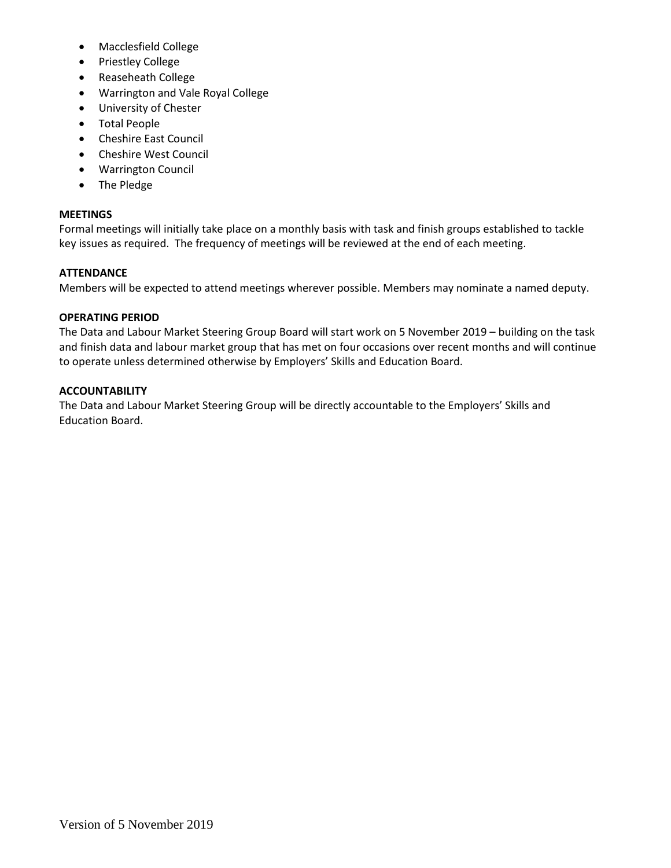- Macclesfield College
- Priestley College
- Reaseheath College
- Warrington and Vale Royal College
- University of Chester
- Total People
- Cheshire East Council
- Cheshire West Council
- Warrington Council
- The Pledge

# **MEETINGS**

Formal meetings will initially take place on a monthly basis with task and finish groups established to tackle key issues as required. The frequency of meetings will be reviewed at the end of each meeting.

# **ATTENDANCE**

Members will be expected to attend meetings wherever possible. Members may nominate a named deputy.

# **OPERATING PERIOD**

The Data and Labour Market Steering Group Board will start work on 5 November 2019 – building on the task and finish data and labour market group that has met on four occasions over recent months and will continue to operate unless determined otherwise by Employers' Skills and Education Board.

# **ACCOUNTABILITY**

The Data and Labour Market Steering Group will be directly accountable to the Employers' Skills and Education Board.